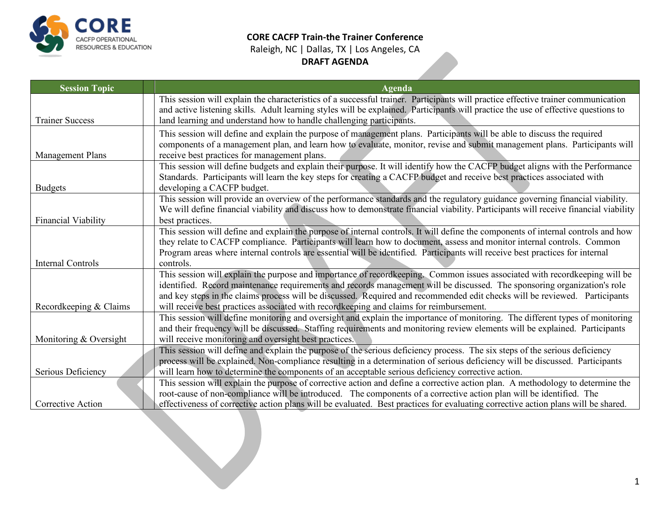

## **CORE CACFP Train-the Trainer Conference** Raleigh, NC | Dallas, TX | Los Angeles, CA **DRAFT AGENDA**

| <b>Session Topic</b>     | <b>Agenda</b>                                                                                                                                                                                                                                                           |  |  |
|--------------------------|-------------------------------------------------------------------------------------------------------------------------------------------------------------------------------------------------------------------------------------------------------------------------|--|--|
|                          | This session will explain the characteristics of a successful trainer. Participants will practice effective trainer communication<br>and active listening skills. Adult learning styles will be explained. Participants will practice the use of effective questions to |  |  |
| <b>Trainer Success</b>   | land learning and understand how to handle challenging participants.                                                                                                                                                                                                    |  |  |
|                          | This session will define and explain the purpose of management plans. Participants will be able to discuss the required                                                                                                                                                 |  |  |
| Management Plans         | components of a management plan, and learn how to evaluate, monitor, revise and submit management plans. Participants will                                                                                                                                              |  |  |
|                          | receive best practices for management plans.<br>This session will define budgets and explain their purpose. It will identify how the CACFP budget aligns with the Performance                                                                                           |  |  |
|                          | Standards. Participants will learn the key steps for creating a CACFP budget and receive best practices associated with                                                                                                                                                 |  |  |
| <b>Budgets</b>           | developing a CACFP budget.                                                                                                                                                                                                                                              |  |  |
|                          | This session will provide an overview of the performance standards and the regulatory guidance governing financial viability.                                                                                                                                           |  |  |
|                          | We will define financial viability and discuss how to demonstrate financial viability. Participants will receive financial viability                                                                                                                                    |  |  |
| Financial Viability      | best practices.                                                                                                                                                                                                                                                         |  |  |
|                          | This session will define and explain the purpose of internal controls. It will define the components of internal controls and how<br>they relate to CACFP compliance. Participants will learn how to document, assess and monitor internal controls. Common             |  |  |
|                          | Program areas where internal controls are essential will be identified. Participants will receive best practices for internal                                                                                                                                           |  |  |
| <b>Internal Controls</b> | controls.                                                                                                                                                                                                                                                               |  |  |
|                          | This session will explain the purpose and importance of recordkeeping. Common issues associated with recordkeeping will be                                                                                                                                              |  |  |
|                          | identified. Record maintenance requirements and records management will be discussed. The sponsoring organization's role                                                                                                                                                |  |  |
|                          | and key steps in the claims process will be discussed. Required and recommended edit checks will be reviewed. Participants                                                                                                                                              |  |  |
| Recordkeeping & Claims   | will receive best practices associated with recordkeeping and claims for reimbursement.                                                                                                                                                                                 |  |  |
|                          | This session will define monitoring and oversight and explain the importance of monitoring. The different types of monitoring                                                                                                                                           |  |  |
| Monitoring & Oversight   | and their frequency will be discussed. Staffing requirements and monitoring review elements will be explained. Participants<br>will receive monitoring and oversight best practices.                                                                                    |  |  |
|                          | This session will define and explain the purpose of the serious deficiency process. The six steps of the serious deficiency                                                                                                                                             |  |  |
|                          | process will be explained. Non-compliance resulting in a determination of serious deficiency will be discussed. Participants                                                                                                                                            |  |  |
| Serious Deficiency       | will learn how to determine the components of an acceptable serious deficiency corrective action.                                                                                                                                                                       |  |  |
|                          | This session will explain the purpose of corrective action and define a corrective action plan. A methodology to determine the                                                                                                                                          |  |  |
|                          | root-cause of non-compliance will be introduced. The components of a corrective action plan will be identified. The                                                                                                                                                     |  |  |
| Corrective Action        | effectiveness of corrective action plans will be evaluated. Best practices for evaluating corrective action plans will be shared.                                                                                                                                       |  |  |